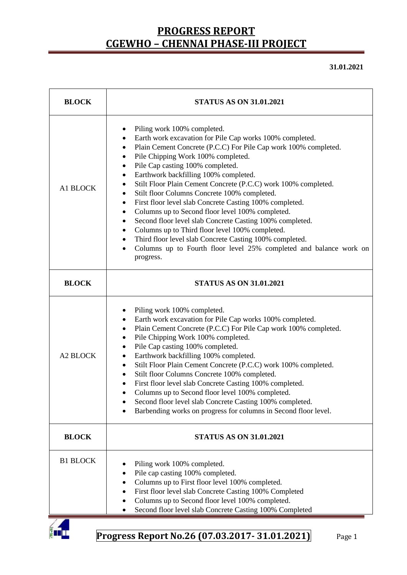**31.01.2021**

| <b>BLOCK</b>    | <b>STATUS AS ON 31.01.2021</b>                                                                                                                                                                                                                                                                                                                                                                                                                                                                                                                                                                                                                                                                                                                                                                                                                           |  |  |  |  |
|-----------------|----------------------------------------------------------------------------------------------------------------------------------------------------------------------------------------------------------------------------------------------------------------------------------------------------------------------------------------------------------------------------------------------------------------------------------------------------------------------------------------------------------------------------------------------------------------------------------------------------------------------------------------------------------------------------------------------------------------------------------------------------------------------------------------------------------------------------------------------------------|--|--|--|--|
| A1 BLOCK        | Piling work 100% completed.<br>٠<br>Earth work excavation for Pile Cap works 100% completed.<br>٠<br>Plain Cement Concrete (P.C.C) For Pile Cap work 100% completed.<br>$\bullet$<br>Pile Chipping Work 100% completed.<br>Pile Cap casting 100% completed.<br>$\bullet$<br>Earthwork backfilling 100% completed.<br>Stilt Floor Plain Cement Concrete (P.C.C) work 100% completed.<br>Stilt floor Columns Concrete 100% completed.<br>First floor level slab Concrete Casting 100% completed.<br>٠<br>Columns up to Second floor level 100% completed.<br>Second floor level slab Concrete Casting 100% completed.<br>٠<br>Columns up to Third floor level 100% completed.<br>٠<br>Third floor level slab Concrete Casting 100% completed.<br>$\bullet$<br>Columns up to Fourth floor level 25% completed and balance work on<br>$\bullet$<br>progress. |  |  |  |  |
| <b>BLOCK</b>    | <b>STATUS AS ON 31.01.2021</b>                                                                                                                                                                                                                                                                                                                                                                                                                                                                                                                                                                                                                                                                                                                                                                                                                           |  |  |  |  |
| <b>A2 BLOCK</b> | Piling work 100% completed.<br>Earth work excavation for Pile Cap works 100% completed.<br>Plain Cement Concrete (P.C.C) For Pile Cap work 100% completed.<br>٠<br>Pile Chipping Work 100% completed.<br>٠<br>Pile Cap casting 100% completed.<br>Earthwork backfilling 100% completed.<br>Stilt Floor Plain Cement Concrete (P.C.C) work 100% completed.<br>Stilt floor Columns Concrete 100% completed.<br>٠<br>First floor level slab Concrete Casting 100% completed.<br>Columns up to Second floor level 100% completed.<br>Second floor level slab Concrete Casting 100% completed.<br>Barbending works on progress for columns in Second floor level.                                                                                                                                                                                             |  |  |  |  |
| <b>BLOCK</b>    | <b>STATUS AS ON 31.01.2021</b>                                                                                                                                                                                                                                                                                                                                                                                                                                                                                                                                                                                                                                                                                                                                                                                                                           |  |  |  |  |
| <b>B1 BLOCK</b> | Piling work 100% completed.<br>Pile cap casting 100% completed.<br>Columns up to First floor level 100% completed.<br>First floor level slab Concrete Casting 100% Completed<br>Columns up to Second floor level 100% completed.<br>Second floor level slab Concrete Casting 100% Completed                                                                                                                                                                                                                                                                                                                                                                                                                                                                                                                                                              |  |  |  |  |

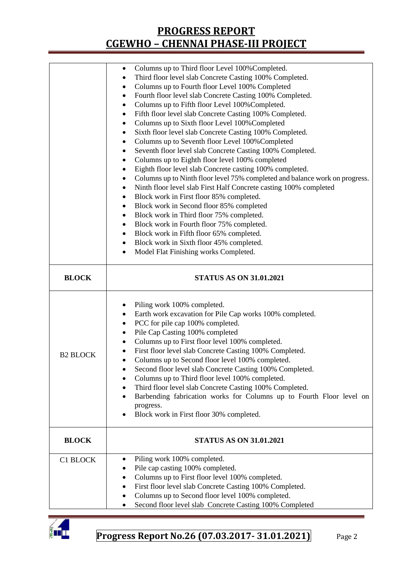|                 | Columns up to Third floor Level 100% Completed.                                                             |  |  |  |
|-----------------|-------------------------------------------------------------------------------------------------------------|--|--|--|
|                 | Third floor level slab Concrete Casting 100% Completed.                                                     |  |  |  |
|                 | Columns up to Fourth floor Level 100% Completed                                                             |  |  |  |
|                 | Fourth floor level slab Concrete Casting 100% Completed.<br>٠                                               |  |  |  |
|                 | Columns up to Fifth floor Level 100% Completed.<br>٠                                                        |  |  |  |
|                 | Fifth floor level slab Concrete Casting 100% Completed.<br>٠                                                |  |  |  |
|                 | Columns up to Sixth floor Level 100% Completed                                                              |  |  |  |
|                 | Sixth floor level slab Concrete Casting 100% Completed.                                                     |  |  |  |
|                 | Columns up to Seventh floor Level 100% Completed                                                            |  |  |  |
|                 | Seventh floor level slab Concrete Casting 100% Completed.<br>٠                                              |  |  |  |
|                 | Columns up to Eighth floor level 100% completed                                                             |  |  |  |
|                 | Eighth floor level slab Concrete casting 100% completed.<br>٠                                               |  |  |  |
|                 | Columns up to Ninth floor level 75% completed and balance work on progress.                                 |  |  |  |
|                 | Ninth floor level slab First Half Concrete casting 100% completed                                           |  |  |  |
|                 | Block work in First floor 85% completed.                                                                    |  |  |  |
|                 | Block work in Second floor 85% completed                                                                    |  |  |  |
|                 | Block work in Third floor 75% completed.                                                                    |  |  |  |
|                 | Block work in Fourth floor 75% completed.<br>٠                                                              |  |  |  |
|                 | Block work in Fifth floor 65% completed.                                                                    |  |  |  |
|                 | Block work in Sixth floor 45% completed.<br>$\bullet$                                                       |  |  |  |
|                 | Model Flat Finishing works Completed.<br>$\bullet$                                                          |  |  |  |
|                 |                                                                                                             |  |  |  |
|                 |                                                                                                             |  |  |  |
| <b>BLOCK</b>    | <b>STATUS AS ON 31.01.2021</b>                                                                              |  |  |  |
|                 |                                                                                                             |  |  |  |
|                 |                                                                                                             |  |  |  |
|                 | Piling work 100% completed.                                                                                 |  |  |  |
|                 | Earth work excavation for Pile Cap works 100% completed.<br>٠                                               |  |  |  |
|                 | PCC for pile cap 100% completed.                                                                            |  |  |  |
|                 | Pile Cap Casting 100% completed<br>٠                                                                        |  |  |  |
|                 | Columns up to First floor level 100% completed.                                                             |  |  |  |
|                 | First floor level slab Concrete Casting 100% Completed.                                                     |  |  |  |
| <b>B2 BLOCK</b> | Columns up to Second floor level 100% completed.                                                            |  |  |  |
|                 | Second floor level slab Concrete Casting 100% Completed.                                                    |  |  |  |
|                 | Columns up to Third floor level 100% completed.                                                             |  |  |  |
|                 | Third floor level slab Concrete Casting 100% Completed.<br>٠                                                |  |  |  |
|                 | Barbending fabrication works for Columns up to Fourth Floor level on<br>$\bullet$                           |  |  |  |
|                 | progress.                                                                                                   |  |  |  |
|                 | Block work in First floor 30% completed.                                                                    |  |  |  |
|                 |                                                                                                             |  |  |  |
| <b>BLOCK</b>    | <b>STATUS AS ON 31.01.2021</b>                                                                              |  |  |  |
|                 |                                                                                                             |  |  |  |
| C1 BLOCK        | Piling work 100% completed.                                                                                 |  |  |  |
|                 | Pile cap casting 100% completed.                                                                            |  |  |  |
|                 | Columns up to First floor level 100% completed.                                                             |  |  |  |
|                 | First floor level slab Concrete Casting 100% Completed.                                                     |  |  |  |
|                 | Columns up to Second floor level 100% completed.<br>Second floor level slab Concrete Casting 100% Completed |  |  |  |

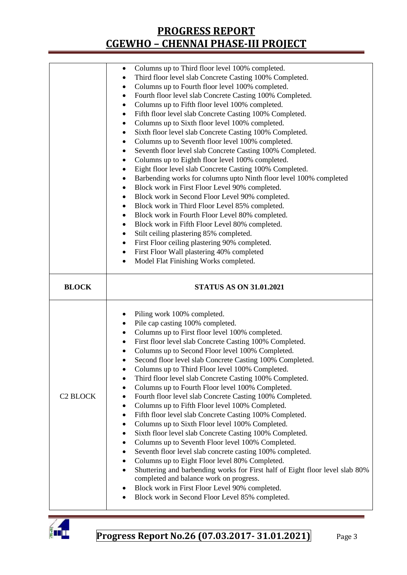|                      | Columns up to Third floor level 100% completed.<br>٠                                                   |  |  |  |  |  |
|----------------------|--------------------------------------------------------------------------------------------------------|--|--|--|--|--|
|                      | Third floor level slab Concrete Casting 100% Completed.                                                |  |  |  |  |  |
|                      | Columns up to Fourth floor level 100% completed.<br>٠                                                  |  |  |  |  |  |
|                      | Fourth floor level slab Concrete Casting 100% Completed.<br>٠                                          |  |  |  |  |  |
|                      | Columns up to Fifth floor level 100% completed.<br>٠                                                   |  |  |  |  |  |
|                      | Fifth floor level slab Concrete Casting 100% Completed.                                                |  |  |  |  |  |
|                      | Columns up to Sixth floor level 100% completed.<br>٠                                                   |  |  |  |  |  |
|                      | Sixth floor level slab Concrete Casting 100% Completed.<br>٠                                           |  |  |  |  |  |
|                      | Columns up to Seventh floor level 100% completed.<br>٠                                                 |  |  |  |  |  |
|                      | Seventh floor level slab Concrete Casting 100% Completed.<br>٠                                         |  |  |  |  |  |
|                      | Columns up to Eighth floor level 100% completed.<br>٠                                                  |  |  |  |  |  |
|                      | Eight floor level slab Concrete Casting 100% Completed.<br>٠                                           |  |  |  |  |  |
|                      |                                                                                                        |  |  |  |  |  |
|                      | Barbending works for columns upto Ninth floor level 100% completed<br>٠                                |  |  |  |  |  |
|                      | Block work in First Floor Level 90% completed.<br>$\bullet$                                            |  |  |  |  |  |
|                      | Block work in Second Floor Level 90% completed.<br>٠                                                   |  |  |  |  |  |
|                      | Block work in Third Floor Level 85% completed.<br>٠                                                    |  |  |  |  |  |
|                      | Block work in Fourth Floor Level 80% completed.<br>٠                                                   |  |  |  |  |  |
|                      | Block work in Fifth Floor Level 80% completed.<br>$\bullet$                                            |  |  |  |  |  |
|                      | Stilt ceiling plastering 85% completed.<br>$\bullet$                                                   |  |  |  |  |  |
|                      | First Floor ceiling plastering 90% completed.<br>٠                                                     |  |  |  |  |  |
|                      | First Floor Wall plastering 40% completed<br>٠                                                         |  |  |  |  |  |
|                      | Model Flat Finishing Works completed.                                                                  |  |  |  |  |  |
|                      | <b>STATUS AS ON 31.01.2021</b>                                                                         |  |  |  |  |  |
| <b>BLOCK</b>         |                                                                                                        |  |  |  |  |  |
|                      |                                                                                                        |  |  |  |  |  |
|                      | Piling work 100% completed.<br>٠                                                                       |  |  |  |  |  |
|                      | Pile cap casting 100% completed.                                                                       |  |  |  |  |  |
|                      | Columns up to First floor level 100% completed.<br>٠                                                   |  |  |  |  |  |
|                      | First floor level slab Concrete Casting 100% Completed.<br>٠                                           |  |  |  |  |  |
|                      | Columns up to Second Floor level 100% Completed.<br>٠                                                  |  |  |  |  |  |
|                      | Second floor level slab Concrete Casting 100% Completed.                                               |  |  |  |  |  |
|                      | Columns up to Third Floor level 100% Completed.                                                        |  |  |  |  |  |
|                      | Third floor level slab Concrete Casting 100% Completed.                                                |  |  |  |  |  |
|                      | Columns up to Fourth Floor level 100% Completed.                                                       |  |  |  |  |  |
| C <sub>2</sub> BLOCK | Fourth floor level slab Concrete Casting 100% Completed.                                               |  |  |  |  |  |
|                      | Columns up to Fifth Floor level 100% Completed.<br>٠                                                   |  |  |  |  |  |
|                      | Fifth floor level slab Concrete Casting 100% Completed.<br>٠                                           |  |  |  |  |  |
|                      | Columns up to Sixth Floor level 100% Completed.<br>٠                                                   |  |  |  |  |  |
|                      | Sixth floor level slab Concrete Casting 100% Completed.<br>٠                                           |  |  |  |  |  |
|                      | Columns up to Seventh Floor level 100% Completed.<br>٠                                                 |  |  |  |  |  |
|                      | Seventh floor level slab concrete casting 100% completed.<br>٠                                         |  |  |  |  |  |
|                      | Columns up to Eight Floor level 80% Completed.                                                         |  |  |  |  |  |
|                      | Shuttering and barbending works for First half of Eight floor level slab 80%<br>$\bullet$              |  |  |  |  |  |
|                      | completed and balance work on progress.                                                                |  |  |  |  |  |
|                      | Block work in First Floor Level 90% completed.<br>٠<br>Block work in Second Floor Level 85% completed. |  |  |  |  |  |

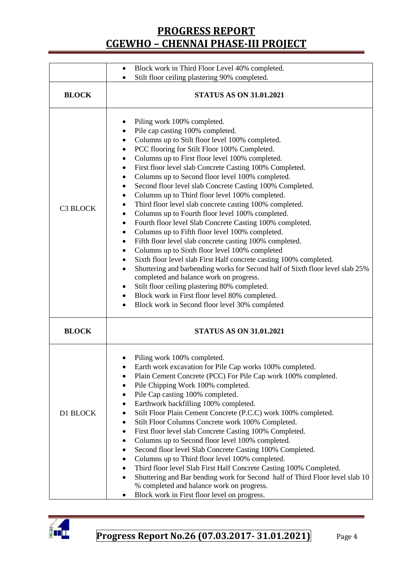|                 | Block work in Third Floor Level 40% completed.<br>$\bullet$                                                                                                                                                                                                                                                                                                                                                                                                                                                                                                                                                                                                                                                                                                                                                                                                                                                                                                                                                                                                                                                                                                                                                                                 |  |  |  |  |
|-----------------|---------------------------------------------------------------------------------------------------------------------------------------------------------------------------------------------------------------------------------------------------------------------------------------------------------------------------------------------------------------------------------------------------------------------------------------------------------------------------------------------------------------------------------------------------------------------------------------------------------------------------------------------------------------------------------------------------------------------------------------------------------------------------------------------------------------------------------------------------------------------------------------------------------------------------------------------------------------------------------------------------------------------------------------------------------------------------------------------------------------------------------------------------------------------------------------------------------------------------------------------|--|--|--|--|
|                 | Stilt floor ceiling plastering 90% completed.<br>$\bullet$                                                                                                                                                                                                                                                                                                                                                                                                                                                                                                                                                                                                                                                                                                                                                                                                                                                                                                                                                                                                                                                                                                                                                                                  |  |  |  |  |
| <b>BLOCK</b>    | <b>STATUS AS ON 31.01.2021</b>                                                                                                                                                                                                                                                                                                                                                                                                                                                                                                                                                                                                                                                                                                                                                                                                                                                                                                                                                                                                                                                                                                                                                                                                              |  |  |  |  |
| <b>C3 BLOCK</b> | Piling work 100% completed.<br>Pile cap casting 100% completed.<br>Columns up to Stilt floor level 100% completed.<br>PCC flooring for Stilt Floor 100% Completed.<br>٠<br>Columns up to First floor level 100% completed.<br>$\bullet$<br>First floor level slab Concrete Casting 100% Completed.<br>٠<br>Columns up to Second floor level 100% completed.<br>٠<br>Second floor level slab Concrete Casting 100% Completed.<br>٠<br>Columns up to Third floor level 100% completed.<br>٠<br>Third floor level slab concrete casting 100% completed.<br>Columns up to Fourth floor level 100% completed.<br>٠<br>Fourth floor level Slab Concrete Casting 100% completed.<br>٠<br>Columns up to Fifth floor level 100% completed.<br>$\bullet$<br>Fifth floor level slab concrete casting 100% completed.<br>٠<br>Columns up to Sixth floor level 100% completed<br>٠<br>Sixth floor level slab First Half concrete casting 100% completed.<br>٠<br>Shuttering and barbending works for Second half of Sixth floor level slab 25%<br>completed and balance work on progress.<br>Stilt floor ceiling plastering 80% completed.<br>٠<br>Block work in First floor level 80% completed.<br>٠<br>Block work in Second floor level 30% completed |  |  |  |  |
| <b>BLOCK</b>    | <b>STATUS AS ON 31.01.2021</b>                                                                                                                                                                                                                                                                                                                                                                                                                                                                                                                                                                                                                                                                                                                                                                                                                                                                                                                                                                                                                                                                                                                                                                                                              |  |  |  |  |
| D1 BLOCK        | Piling work 100% completed.<br>Earth work excavation for Pile Cap works 100% completed.<br>Plain Cement Concrete (PCC) For Pile Cap work 100% completed.<br>Pile Chipping Work 100% completed.<br>٠<br>Pile Cap casting 100% completed.<br>٠<br>Earthwork backfilling 100% completed.<br>Stilt Floor Plain Cement Concrete (P.C.C) work 100% completed.<br>Stilt Floor Columns Concrete work 100% Completed.<br>٠<br>First floor level slab Concrete Casting 100% Completed.<br>٠<br>Columns up to Second floor level 100% completed.<br>Second floor level Slab Concrete Casting 100% Completed.<br>٠<br>Columns up to Third floor level 100% completed.<br>٠<br>Third floor level Slab First Half Concrete Casting 100% Completed.<br>Shuttering and Bar bending work for Second half of Third Floor level slab 10<br>% completed and balance work on progress.<br>Block work in First floor level on progress.                                                                                                                                                                                                                                                                                                                           |  |  |  |  |

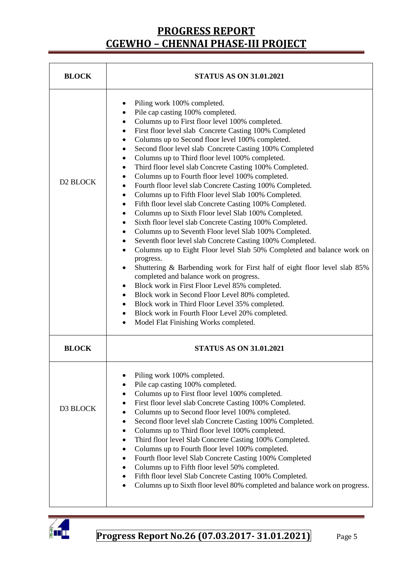| <b>BLOCK</b>         | <b>STATUS AS ON 31.01.2021</b>                                                                                                                                                                                                                                                                                                                                                                                                                                                                                                                                                                                                                                                                                                                                                                                                                                                                                                                                                                                                                                                                                                                                                                                                                                                                                                                                                                                                                                                                                                                                          |  |  |  |  |  |
|----------------------|-------------------------------------------------------------------------------------------------------------------------------------------------------------------------------------------------------------------------------------------------------------------------------------------------------------------------------------------------------------------------------------------------------------------------------------------------------------------------------------------------------------------------------------------------------------------------------------------------------------------------------------------------------------------------------------------------------------------------------------------------------------------------------------------------------------------------------------------------------------------------------------------------------------------------------------------------------------------------------------------------------------------------------------------------------------------------------------------------------------------------------------------------------------------------------------------------------------------------------------------------------------------------------------------------------------------------------------------------------------------------------------------------------------------------------------------------------------------------------------------------------------------------------------------------------------------------|--|--|--|--|--|
| D <sub>2</sub> BLOCK | Piling work 100% completed.<br>Pile cap casting 100% completed.<br>Columns up to First floor level 100% completed.<br>٠<br>First floor level slab Concrete Casting 100% Completed<br>$\bullet$<br>Columns up to Second floor level 100% completed.<br>$\bullet$<br>Second floor level slab Concrete Casting 100% Completed<br>$\bullet$<br>Columns up to Third floor level 100% completed.<br>٠<br>Third floor level slab Concrete Casting 100% Completed.<br>٠<br>Columns up to Fourth floor level 100% completed.<br>٠<br>Fourth floor level slab Concrete Casting 100% Completed.<br>$\bullet$<br>Columns up to Fifth Floor level Slab 100% Completed.<br>$\bullet$<br>Fifth floor level slab Concrete Casting 100% Completed.<br>$\bullet$<br>Columns up to Sixth Floor level Slab 100% Completed.<br>$\bullet$<br>Sixth floor level slab Concrete Casting 100% Completed.<br>$\bullet$<br>Columns up to Seventh Floor level Slab 100% Completed.<br>$\bullet$<br>Seventh floor level slab Concrete Casting 100% Completed.<br>$\bullet$<br>Columns up to Eight Floor level Slab 50% Completed and balance work on<br>$\bullet$<br>progress.<br>Shuttering & Barbending work for First half of eight floor level slab 85%<br>completed and balance work on progress.<br>Block work in First Floor Level 85% completed.<br>٠<br>Block work in Second Floor Level 80% completed.<br>$\bullet$<br>Block work in Third Floor Level 35% completed.<br>$\bullet$<br>Block work in Fourth Floor Level 20% completed.<br>$\bullet$<br>Model Flat Finishing Works completed. |  |  |  |  |  |
| <b>BLOCK</b>         | <b>STATUS AS ON 31.01.2021</b>                                                                                                                                                                                                                                                                                                                                                                                                                                                                                                                                                                                                                                                                                                                                                                                                                                                                                                                                                                                                                                                                                                                                                                                                                                                                                                                                                                                                                                                                                                                                          |  |  |  |  |  |
| D3 BLOCK             | Piling work 100% completed.<br>Pile cap casting 100% completed.<br>Columns up to First floor level 100% completed.<br>٠<br>First floor level slab Concrete Casting 100% Completed.<br>Columns up to Second floor level 100% completed.<br>٠<br>Second floor level slab Concrete Casting 100% Completed.<br>٠<br>Columns up to Third floor level 100% completed.<br>٠<br>Third floor level Slab Concrete Casting 100% Completed.<br>٠<br>Columns up to Fourth floor level 100% completed.<br>٠<br>Fourth floor level Slab Concrete Casting 100% Completed<br>Columns up to Fifth floor level 50% completed.<br>٠<br>Fifth floor level Slab Concrete Casting 100% Completed.<br>Columns up to Sixth floor level 80% completed and balance work on progress.                                                                                                                                                                                                                                                                                                                                                                                                                                                                                                                                                                                                                                                                                                                                                                                                               |  |  |  |  |  |

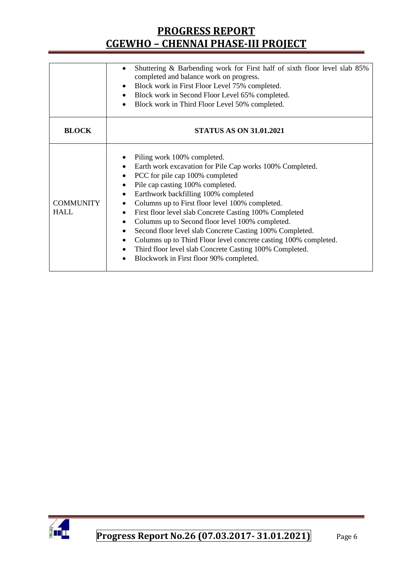| Shuttering & Barbending work for First half of sixth floor level slab 85%                                                                                                                                                                                                                                                                                                                                                                                                                                                                                                                                                                                                   |
|-----------------------------------------------------------------------------------------------------------------------------------------------------------------------------------------------------------------------------------------------------------------------------------------------------------------------------------------------------------------------------------------------------------------------------------------------------------------------------------------------------------------------------------------------------------------------------------------------------------------------------------------------------------------------------|
| completed and balance work on progress.                                                                                                                                                                                                                                                                                                                                                                                                                                                                                                                                                                                                                                     |
| Block work in First Floor Level 75% completed.<br>$\bullet$                                                                                                                                                                                                                                                                                                                                                                                                                                                                                                                                                                                                                 |
| Block work in Second Floor Level 65% completed.<br>$\bullet$                                                                                                                                                                                                                                                                                                                                                                                                                                                                                                                                                                                                                |
| Block work in Third Floor Level 50% completed.<br>$\bullet$                                                                                                                                                                                                                                                                                                                                                                                                                                                                                                                                                                                                                 |
|                                                                                                                                                                                                                                                                                                                                                                                                                                                                                                                                                                                                                                                                             |
| <b>STATUS AS ON 31.01.2021</b>                                                                                                                                                                                                                                                                                                                                                                                                                                                                                                                                                                                                                                              |
| Piling work 100% completed.<br>Earth work excavation for Pile Cap works 100% Completed.<br>PCC for pile cap 100% completed<br>Pile cap casting 100% completed.<br>$\bullet$<br>Earthwork backfilling 100% completed<br>$\bullet$<br>Columns up to First floor level 100% completed.<br>٠<br>First floor level slab Concrete Casting 100% Completed<br>Columns up to Second floor level 100% completed.<br>Second floor level slab Concrete Casting 100% Completed.<br>٠<br>Columns up to Third Floor level concrete casting 100% completed.<br>$\bullet$<br>Third floor level slab Concrete Casting 100% Completed.<br>Blockwork in First floor 90% completed.<br>$\bullet$ |
|                                                                                                                                                                                                                                                                                                                                                                                                                                                                                                                                                                                                                                                                             |

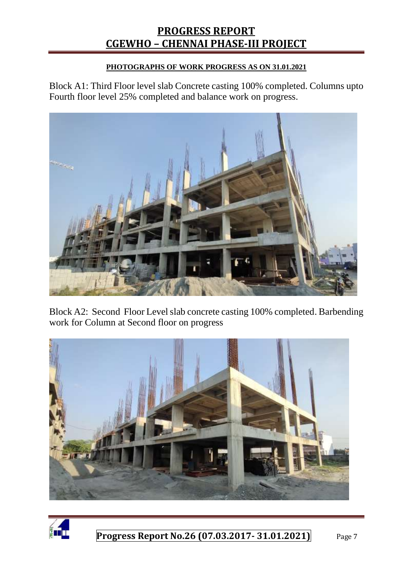#### **PHOTOGRAPHS OF WORK PROGRESS AS ON 31.01.2021**

Block A1: Third Floor level slab Concrete casting 100% completed. Columns upto Fourth floor level 25% completed and balance work on progress.



Block A2: Second Floor Level slab concrete casting 100% completed. Barbending work for Column at Second floor on progress



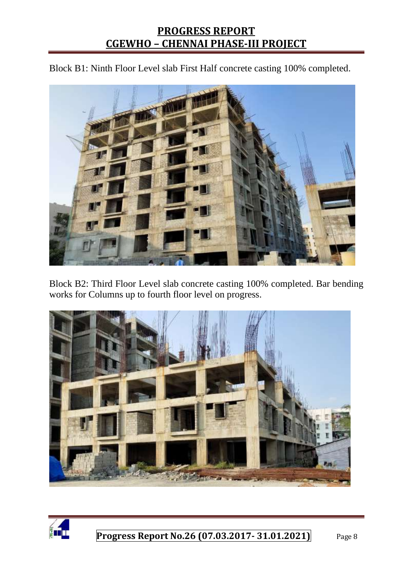Block B1: Ninth Floor Level slab First Half concrete casting 100% completed.



Block B2: Third Floor Level slab concrete casting 100% completed. Bar bending works for Columns up to fourth floor level on progress.



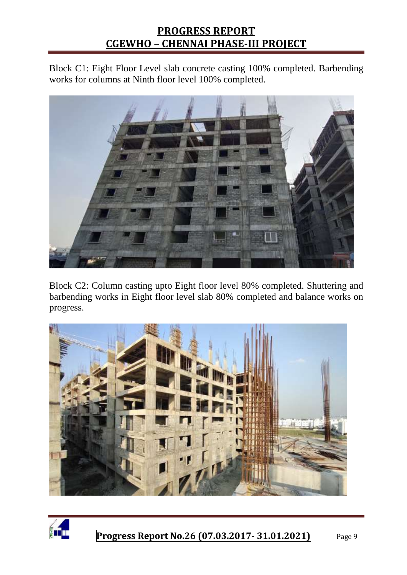Block C1: Eight Floor Level slab concrete casting 100% completed. Barbending works for columns at Ninth floor level 100% completed.



Block C2: Column casting upto Eight floor level 80% completed. Shuttering and barbending works in Eight floor level slab 80% completed and balance works on progress.



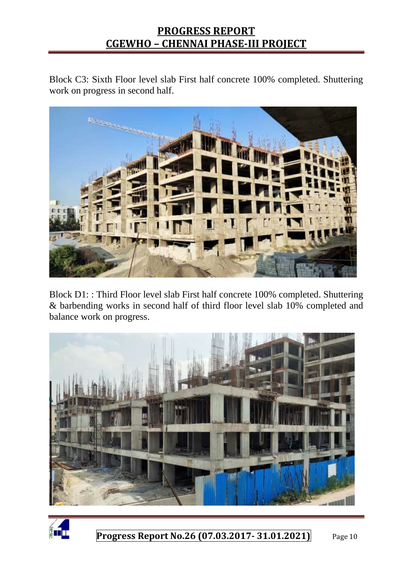Block C3: Sixth Floor level slab First half concrete 100% completed. Shuttering work on progress in second half.



Block D1: : Third Floor level slab First half concrete 100% completed. Shuttering & barbending works in second half of third floor level slab 10% completed and balance work on progress.



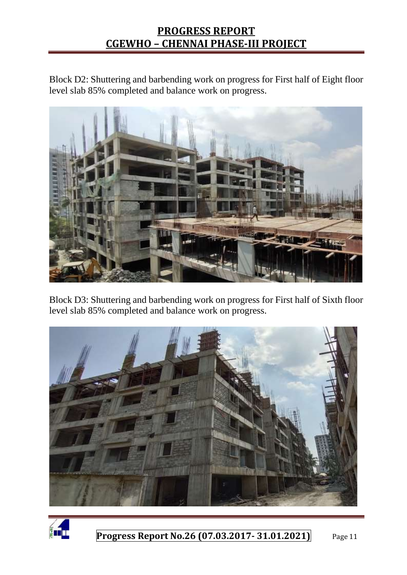Block D2: Shuttering and barbending work on progress for First half of Eight floor level slab 85% completed and balance work on progress.



Block D3: Shuttering and barbending work on progress for First half of Sixth floor level slab 85% completed and balance work on progress.



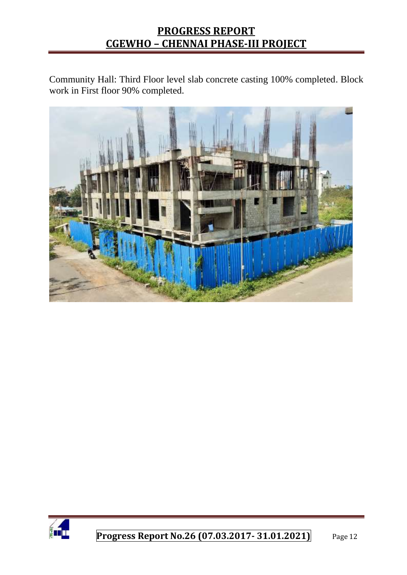Community Hall: Third Floor level slab concrete casting 100% completed. Block work in First floor 90% completed.



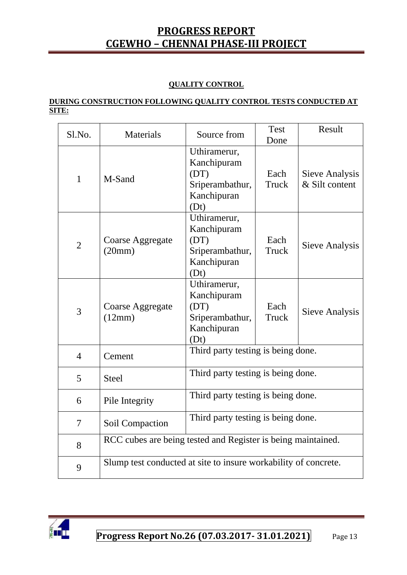#### **QUALITY CONTROL**

#### **DURING CONSTRUCTION FOLLOWING QUALITY CONTROL TESTS CONDUCTED AT SITE:**

| Sl.No.         | Materials                                                       | Source from                                                                   | <b>Test</b><br>Done | Result                           |  |
|----------------|-----------------------------------------------------------------|-------------------------------------------------------------------------------|---------------------|----------------------------------|--|
| $\mathbf{1}$   | M-Sand                                                          | Uthiramerur,<br>Kanchipuram<br>(DT)<br>Sriperambathur,<br>Kanchipuran<br>(Dt) | Each<br>Truck       | Sieve Analysis<br>& Silt content |  |
| $\overline{2}$ | Coarse Aggregate<br>(20mm)                                      | Uthiramerur,<br>Kanchipuram<br>(DT)<br>Sriperambathur,<br>Kanchipuran<br>(Dt) | Each<br>Truck       | Sieve Analysis                   |  |
| $\overline{3}$ | <b>Coarse Aggregate</b><br>(12mm)                               | Uthiramerur,<br>Kanchipuram<br>(DT)<br>Sriperambathur,<br>Kanchipuran<br>(Dt) | Each<br>Truck       | Sieve Analysis                   |  |
| $\overline{4}$ | Cement                                                          | Third party testing is being done.                                            |                     |                                  |  |
| 5              | <b>Steel</b>                                                    | Third party testing is being done.                                            |                     |                                  |  |
| 6              | Pile Integrity                                                  | Third party testing is being done.                                            |                     |                                  |  |
| $\tau$         | Soil Compaction                                                 | Third party testing is being done.                                            |                     |                                  |  |
| 8              | RCC cubes are being tested and Register is being maintained.    |                                                                               |                     |                                  |  |
| 9              | Slump test conducted at site to insure workability of concrete. |                                                                               |                     |                                  |  |

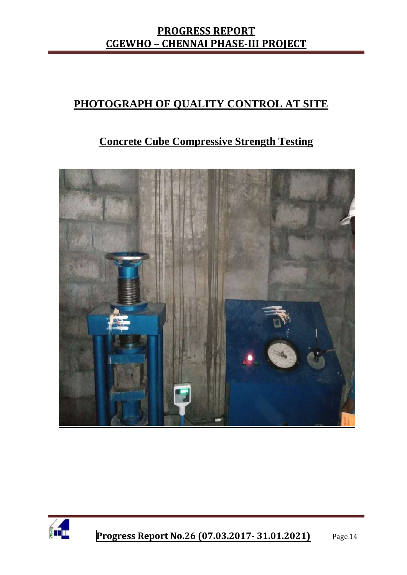# **PHOTOGRAPH OF QUALITY CONTROL AT SITE**

# **Concrete Cube Compressive Strength Testing**



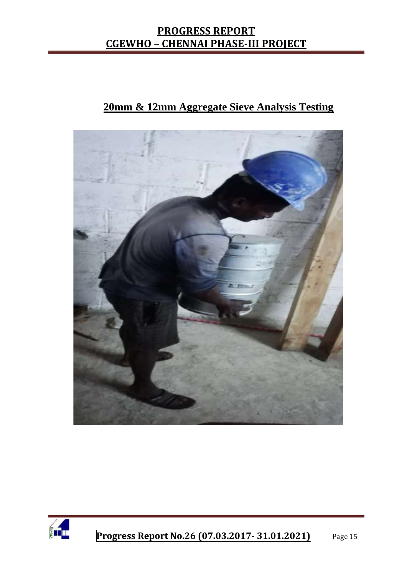# **20mm & 12mm Aggregate Sieve Analysis Testing**